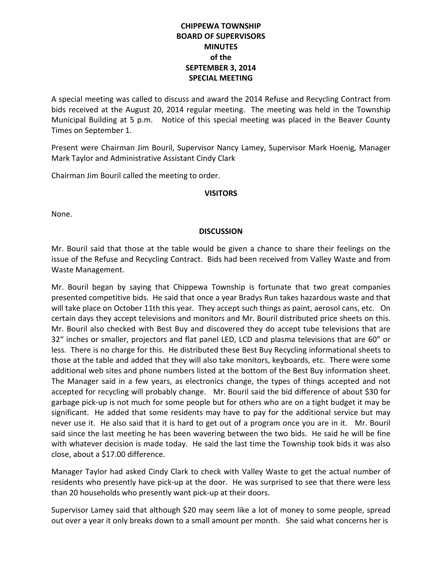# **CHIPPEWA TOWNSHIP BOARD OF SUPERVISORS MINUTES of the SEPTEMBER 3, 2014 SPECIAL MEETING**

A special meeting was called to discuss and award the 2014 Refuse and Recycling Contract from bids received at the August 20, 2014 regular meeting. The meeting was held in the Township Municipal Building at 5 p.m. Notice of this special meeting was placed in the Beaver County Times on September 1.

Present were Chairman Jim Bouril, Supervisor Nancy Lamey, Supervisor Mark Hoenig, Manager Mark Taylor and Administrative Assistant Cindy Clark

Chairman Jim Bouril called the meeting to order.

# **VISITORS**

None.

# **DISCUSSION**

Mr. Bouril said that those at the table would be given a chance to share their feelings on the issue of the Refuse and Recycling Contract. Bids had been received from Valley Waste and from Waste Management.

Mr. Bouril began by saying that Chippewa Township is fortunate that two great companies presented competitive bids. He said that once a year Bradys Run takes hazardous waste and that will take place on October 11th this year. They accept such things as paint, aerosol cans, etc. On certain days they accept televisions and monitors and Mr. Bouril distributed price sheets on this. Mr. Bouril also checked with Best Buy and discovered they do accept tube televisions that are 32" inches or smaller, projectors and flat panel LED, LCD and plasma televisions that are 60" or less. There is no charge for this. He distributed these Best Buy Recycling informational sheets to those at the table and added that they will also take monitors, keyboards, etc. There were some additional web sites and phone numbers listed at the bottom of the Best Buy information sheet. The Manager said in a few years, as electronics change, the types of things accepted and not accepted for recycling will probably change. Mr. Bouril said the bid difference of about \$30 for garbage pick-up is not much for some people but for others who are on a tight budget it may be significant. He added that some residents may have to pay for the additional service but may never use it. He also said that it is hard to get out of a program once you are in it. Mr. Bouril said since the last meeting he has been wavering between the two bids. He said he will be fine with whatever decision is made today. He said the last time the Township took bids it was also close, about a \$17.00 difference.

Manager Taylor had asked Cindy Clark to check with Valley Waste to get the actual number of residents who presently have pick-up at the door. He was surprised to see that there were less than 20 households who presently want pick-up at their doors.

Supervisor Lamey said that although \$20 may seem like a lot of money to some people, spread out over a year it only breaks down to a small amount per month. She said what concerns her is